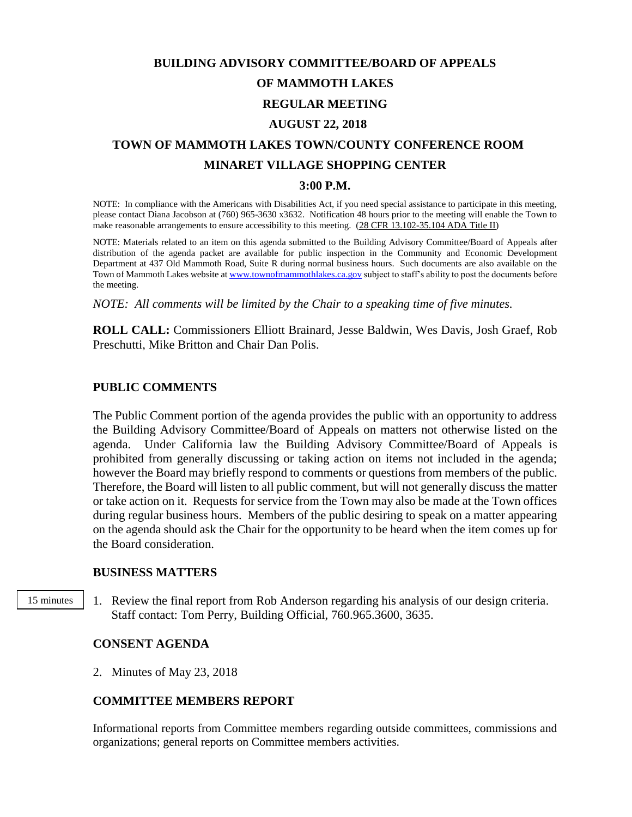# **BUILDING ADVISORY COMMITTEE/BOARD OF APPEALS OF MAMMOTH LAKES REGULAR MEETING AUGUST 22, 2018 TOWN OF MAMMOTH LAKES TOWN/COUNTY CONFERENCE ROOM**

## **MINARET VILLAGE SHOPPING CENTER**

#### **3:00 P.M.**

NOTE: In compliance with the Americans with Disabilities Act, if you need special assistance to participate in this meeting, please contact Diana Jacobson at (760) 965-3630 x3632. Notification 48 hours prior to the meeting will enable the Town to make reasonable arrangements to ensure accessibility to this meeting. (28 CFR 13.102-35.104 ADA Title II)

NOTE: Materials related to an item on this agenda submitted to the Building Advisory Committee/Board of Appeals after distribution of the agenda packet are available for public inspection in the Community and Economic Development Department at 437 Old Mammoth Road, Suite R during normal business hours. Such documents are also available on the Town of Mammoth Lakes website a[t www.townofmammothlakes.ca.gov](http://www.townofmammothlakes.ca.gov/) subject to staff's ability to post the documents before the meeting.

*NOTE: All comments will be limited by the Chair to a speaking time of five minutes.*

**ROLL CALL:** Commissioners Elliott Brainard, Jesse Baldwin, Wes Davis, Josh Graef, Rob Preschutti, Mike Britton and Chair Dan Polis.

## **PUBLIC COMMENTS**

The Public Comment portion of the agenda provides the public with an opportunity to address the Building Advisory Committee/Board of Appeals on matters not otherwise listed on the agenda. Under California law the Building Advisory Committee/Board of Appeals is prohibited from generally discussing or taking action on items not included in the agenda; however the Board may briefly respond to comments or questions from members of the public. Therefore, the Board will listen to all public comment, but will not generally discuss the matter or take action on it. Requests for service from the Town may also be made at the Town offices during regular business hours. Members of the public desiring to speak on a matter appearing on the agenda should ask the Chair for the opportunity to be heard when the item comes up for the Board consideration.

#### **BUSINESS MATTERS**

15 minutes

1. Review the final report from Rob Anderson regarding his analysis of our design criteria. Staff contact: Tom Perry, Building Official, 760.965.3600, 3635.

## **CONSENT AGENDA**

2. Minutes of May 23, 2018

## **COMMITTEE MEMBERS REPORT**

Informational reports from Committee members regarding outside committees, commissions and organizations; general reports on Committee members activities.